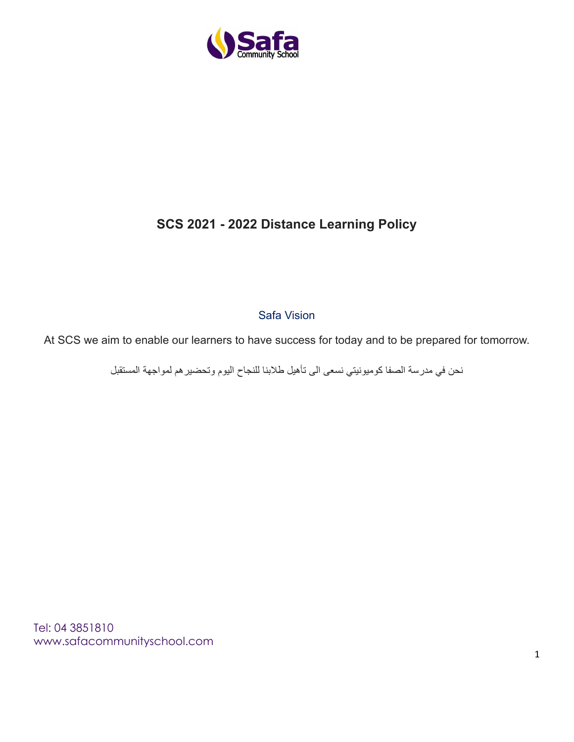

# **SCS 2021 - 2022 Distance Learning Policy**

Safa Vision

At SCS we aim to enable our learners to have success for today and to be prepared for tomorrow.

نحن في مدرسة الصفا كوميونيتي نسعى الى تأهيل طالبنا للنجاح اليوم وتحضيرهم لمواجهة المستقبل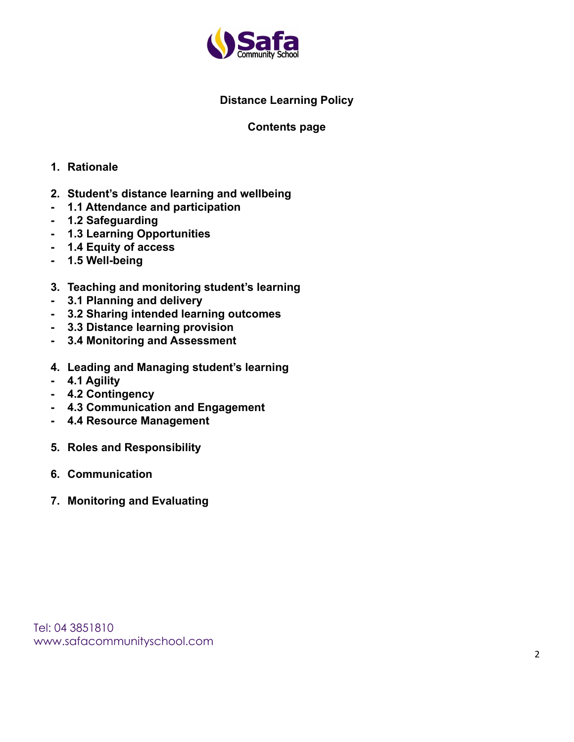

# **Distance Learning Policy**

#### **Contents page**

#### **1. Rationale**

- **2. Student's distance learning and wellbeing**
- **- 1.1 Attendance and participation**
- **- 1.2 Safeguarding**
- **- 1.3 Learning Opportunities**
- **- 1.4 Equity of access**
- **- 1.5 Well-being**
- **3. Teaching and monitoring student's learning**
- **- 3.1 Planning and delivery**
- **- 3.2 Sharing intended learning outcomes**
- **- 3.3 Distance learning provision**
- **- 3.4 Monitoring and Assessment**
- **4. Leading and Managing student's learning**
- **- 4.1 Agility**
- **- 4.2 Contingency**
- **- 4.3 Communication and Engagement**
- **- 4.4 Resource Management**
- **5. Roles and Responsibility**
- **6. Communication**
- **7. Monitoring and Evaluating**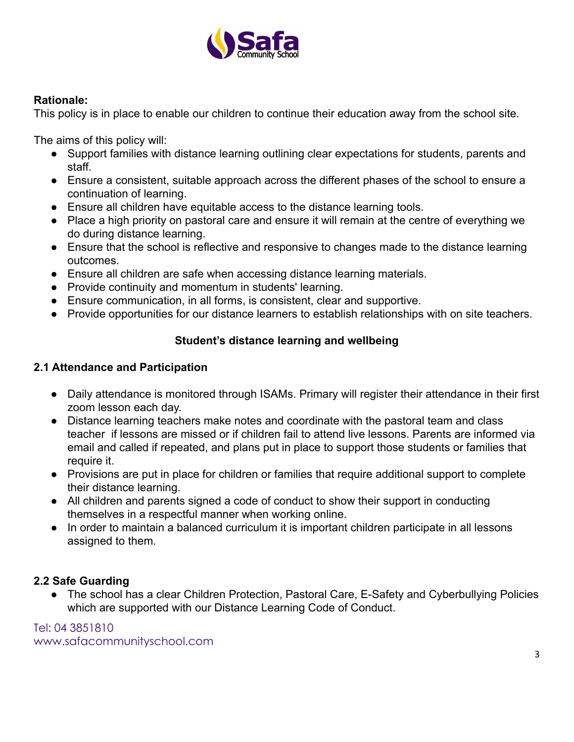

#### **Rationale:**

This policy is in place to enable our children to continue their education away from the school site.

The aims of this policy will:

- Support families with distance learning outlining clear expectations for students, parents and staff.
- Ensure a consistent, suitable approach across the different phases of the school to ensure a continuation of learning.
- Ensure all children have equitable access to the distance learning tools.
- Place a high priority on pastoral care and ensure it will remain at the centre of everything we do during distance learning.
- Ensure that the school is reflective and responsive to changes made to the distance learning outcomes.
- Ensure all children are safe when accessing distance learning materials.
- Provide continuity and momentum in students' learning.
- Ensure communication, in all forms, is consistent, clear and supportive.
- Provide opportunities for our distance learners to establish relationships with on site teachers.

## **Student's distance learning and wellbeing**

#### **2.1 Attendance and Participation**

- Daily attendance is monitored through ISAMs. Primary will register their attendance in their first zoom lesson each day.
- Distance learning teachers make notes and coordinate with the pastoral team and class teacher if lessons are missed or if children fail to attend live lessons. Parents are informed via email and called if repeated, and plans put in place to support those students or families that require it.
- Provisions are put in place for children or families that require additional support to complete their distance learning.
- All children and parents signed a code of conduct to show their support in conducting themselves in a respectful manner when working online.
- In order to maintain a balanced curriculum it is important children participate in all lessons assigned to them.

## **2.2 Safe Guarding**

● The school has a clear Children Protection, Pastoral Care, E-Safety and Cyberbullying Policies which are supported with our Distance Learning Code of Conduct.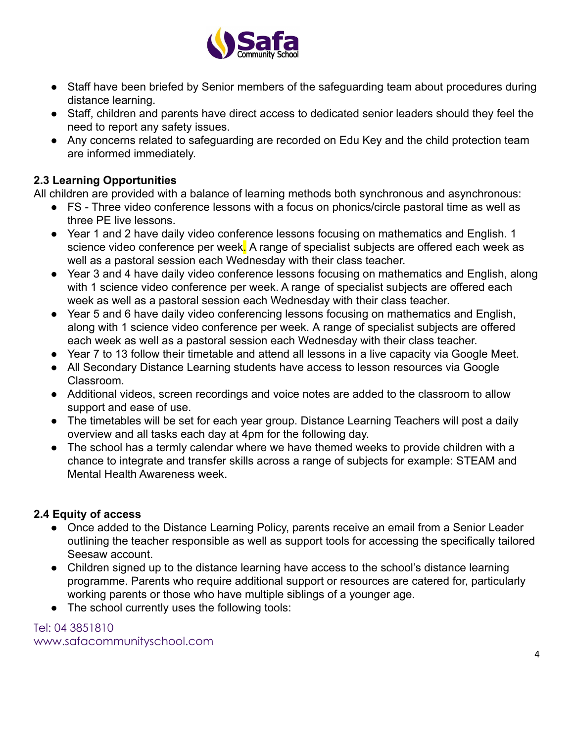

- Staff have been briefed by Senior members of the safeguarding team about procedures during distance learning.
- Staff, children and parents have direct access to dedicated senior leaders should they feel the need to report any safety issues.
- Any concerns related to safeguarding are recorded on Edu Key and the child protection team are informed immediately.

# **2.3 Learning Opportunities**

All children are provided with a balance of learning methods both synchronous and asynchronous:

- FS Three video conference lessons with a focus on phonics/circle pastoral time as well as three PE live lessons.
- Year 1 and 2 have daily video conference lessons focusing on mathematics and English. 1 science video conference per week. A range of specialist subjects are offered each week as well as a pastoral session each Wednesday with their class teacher.
- Year 3 and 4 have daily video conference lessons focusing on mathematics and English, along with 1 science video conference per week. A range of specialist subjects are offered each week as well as a pastoral session each Wednesday with their class teacher.
- Year 5 and 6 have daily video conferencing lessons focusing on mathematics and English, along with 1 science video conference per week. A range of specialist subjects are offered each week as well as a pastoral session each Wednesday with their class teacher.
- Year 7 to 13 follow their timetable and attend all lessons in a live capacity via Google Meet.
- All Secondary Distance Learning students have access to lesson resources via Google Classroom.
- Additional videos, screen recordings and voice notes are added to the classroom to allow support and ease of use.
- The timetables will be set for each year group. Distance Learning Teachers will post a daily overview and all tasks each day at 4pm for the following day.
- The school has a termly calendar where we have themed weeks to provide children with a chance to integrate and transfer skills across a range of subjects for example: STEAM and Mental Health Awareness week.

# **2.4 Equity of access**

- Once added to the Distance Learning Policy, parents receive an email from a Senior Leader outlining the teacher responsible as well as support tools for accessing the specifically tailored Seesaw account.
- Children signed up to the distance learning have access to the school's distance learning programme. Parents who require additional support or resources are catered for, particularly working parents or those who have multiple siblings of a younger age.
- The school currently uses the following tools: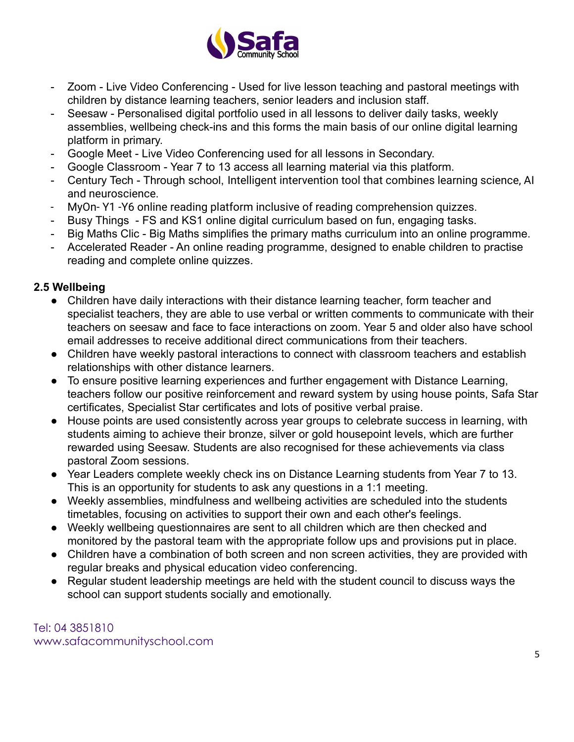

- Zoom Live Video Conferencing Used for live lesson teaching and pastoral meetings with children by distance learning teachers, senior leaders and inclusion staff.
- Seesaw Personalised digital portfolio used in all lessons to deliver daily tasks, weekly assemblies, wellbeing check-ins and this forms the main basis of our online digital learning platform in primary.
- Google Meet Live Video Conferencing used for all lessons in Secondary.
- Google Classroom Year 7 to 13 access all learning material via this platform.
- Century Tech Through school, Intelligent intervention tool that combines learning science, AI and neuroscience.
- MyOn- Y1 -Y6 online reading platform inclusive of reading comprehension quizzes.
- Busy Things FS and KS1 online digital curriculum based on fun, engaging tasks.
- Big Maths Clic Big Maths simplifies the primary maths curriculum into an online programme.
- Accelerated Reader An online reading programme, designed to enable children to practise reading and complete online quizzes.

## **2.5 Wellbeing**

- Children have daily interactions with their distance learning teacher, form teacher and specialist teachers, they are able to use verbal or written comments to communicate with their teachers on seesaw and face to face interactions on zoom. Year 5 and older also have school email addresses to receive additional direct communications from their teachers.
- Children have weekly pastoral interactions to connect with classroom teachers and establish relationships with other distance learners.
- To ensure positive learning experiences and further engagement with Distance Learning, teachers follow our positive reinforcement and reward system by using house points, Safa Star certificates, Specialist Star certificates and lots of positive verbal praise.
- House points are used consistently across year groups to celebrate success in learning, with students aiming to achieve their bronze, silver or gold housepoint levels, which are further rewarded using Seesaw. Students are also recognised for these achievements via class pastoral Zoom sessions.
- Year Leaders complete weekly check ins on Distance Learning students from Year 7 to 13. This is an opportunity for students to ask any questions in a 1:1 meeting.
- Weekly assemblies, mindfulness and wellbeing activities are scheduled into the students timetables, focusing on activities to support their own and each other's feelings.
- Weekly wellbeing questionnaires are sent to all children which are then checked and monitored by the pastoral team with the appropriate follow ups and provisions put in place.
- Children have a combination of both screen and non screen activities, they are provided with regular breaks and physical education video conferencing.
- Regular student leadership meetings are held with the student council to discuss ways the school can support students socially and emotionally.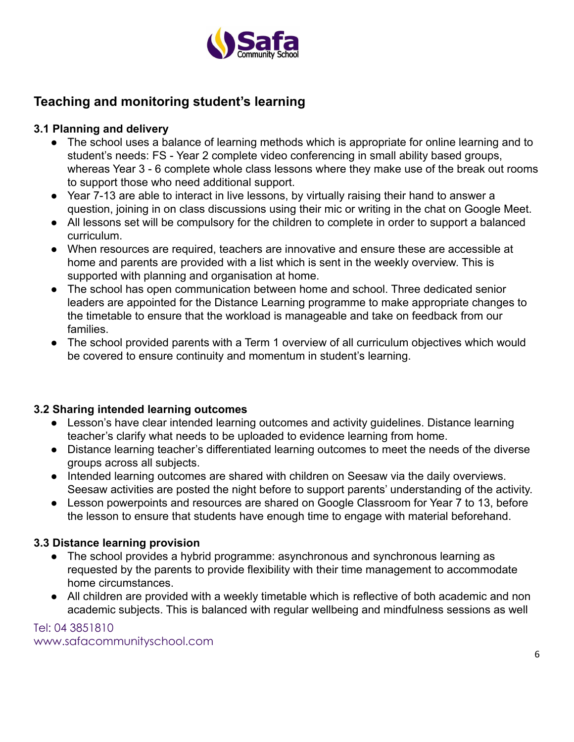

# **Teaching and monitoring student's learning**

# **3.1 Planning and delivery**

- The school uses a balance of learning methods which is appropriate for online learning and to student's needs: FS - Year 2 complete video conferencing in small ability based groups, whereas Year 3 - 6 complete whole class lessons where they make use of the break out rooms to support those who need additional support.
- Year 7-13 are able to interact in live lessons, by virtually raising their hand to answer a question, joining in on class discussions using their mic or writing in the chat on Google Meet.
- All lessons set will be compulsory for the children to complete in order to support a balanced curriculum.
- When resources are required, teachers are innovative and ensure these are accessible at home and parents are provided with a list which is sent in the weekly overview. This is supported with planning and organisation at home.
- The school has open communication between home and school. Three dedicated senior leaders are appointed for the Distance Learning programme to make appropriate changes to the timetable to ensure that the workload is manageable and take on feedback from our families.
- The school provided parents with a Term 1 overview of all curriculum objectives which would be covered to ensure continuity and momentum in student's learning.

## **3.2 Sharing intended learning outcomes**

- Lesson's have clear intended learning outcomes and activity guidelines. Distance learning teacher's clarify what needs to be uploaded to evidence learning from home.
- Distance learning teacher's differentiated learning outcomes to meet the needs of the diverse groups across all subjects.
- Intended learning outcomes are shared with children on Seesaw via the daily overviews. Seesaw activities are posted the night before to support parents' understanding of the activity.
- Lesson powerpoints and resources are shared on Google Classroom for Year 7 to 13, before the lesson to ensure that students have enough time to engage with material beforehand.

# **3.3 Distance learning provision**

- The school provides a hybrid programme: asynchronous and synchronous learning as requested by the parents to provide flexibility with their time management to accommodate home circumstances.
- All children are provided with a weekly timetable which is reflective of both academic and non academic subjects. This is balanced with regular wellbeing and mindfulness sessions as well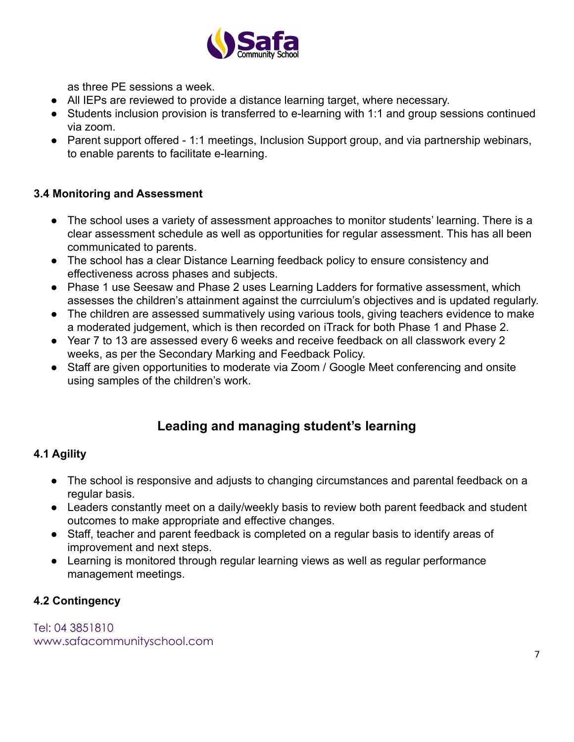

as three PE sessions a week.

- All IEPs are reviewed to provide a distance learning target, where necessary.
- Students inclusion provision is transferred to e-learning with 1:1 and group sessions continued via zoom.
- Parent support offered 1:1 meetings, Inclusion Support group, and via partnership webinars, to enable parents to facilitate e-learning.

#### **3.4 Monitoring and Assessment**

- The school uses a variety of assessment approaches to monitor students' learning. There is a clear assessment schedule as well as opportunities for regular assessment. This has all been communicated to parents.
- The school has a clear Distance Learning feedback policy to ensure consistency and effectiveness across phases and subjects.
- Phase 1 use Seesaw and Phase 2 uses Learning Ladders for formative assessment, which assesses the children's attainment against the currciulum's objectives and is updated regularly.
- The children are assessed summatively using various tools, giving teachers evidence to make a moderated judgement, which is then recorded on iTrack for both Phase 1 and Phase 2.
- Year 7 to 13 are assessed every 6 weeks and receive feedback on all classwork every 2 weeks, as per the Secondary Marking and Feedback Policy.
- Staff are given opportunities to moderate via Zoom / Google Meet conferencing and onsite using samples of the children's work.

# **Leading and managing student's learning**

## **4.1 Agility**

- The school is responsive and adjusts to changing circumstances and parental feedback on a regular basis.
- Leaders constantly meet on a daily/weekly basis to review both parent feedback and student outcomes to make appropriate and effective changes.
- Staff, teacher and parent feedback is completed on a regular basis to identify areas of improvement and next steps.
- Learning is monitored through regular learning views as well as regular performance management meetings.

## **4.2 Contingency**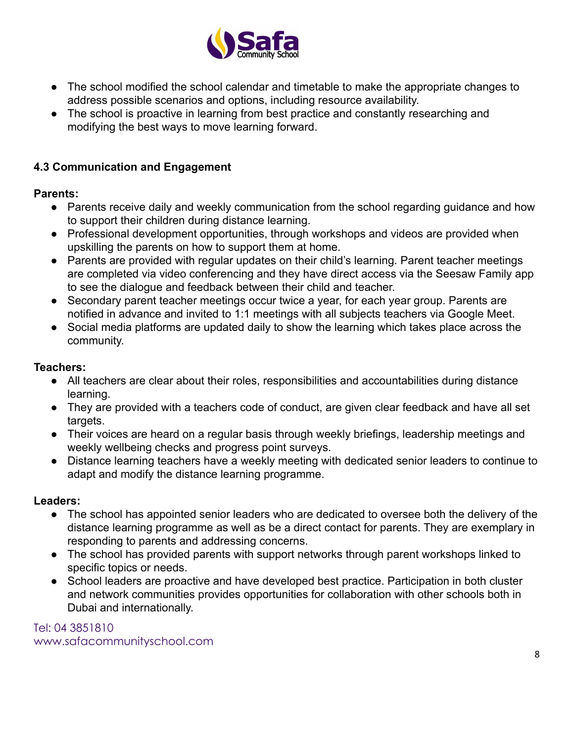

- The school modified the school calendar and timetable to make the appropriate changes to address possible scenarios and options, including resource availability.
- The school is proactive in learning from best practice and constantly researching and modifying the best ways to move learning forward.

# **4.3 Communication and Engagement**

## **Parents:**

- Parents receive daily and weekly communication from the school regarding guidance and how to support their children during distance learning.
- Professional development opportunities, through workshops and videos are provided when upskilling the parents on how to support them at home.
- Parents are provided with regular updates on their child's learning. Parent teacher meetings are completed via video conferencing and they have direct access via the Seesaw Family app to see the dialogue and feedback between their child and teacher.
- Secondary parent teacher meetings occur twice a year, for each year group. Parents are notified in advance and invited to 1:1 meetings with all subjects teachers via Google Meet.
- Social media platforms are updated daily to show the learning which takes place across the community.

## **Teachers:**

- All teachers are clear about their roles, responsibilities and accountabilities during distance learning.
- They are provided with a teachers code of conduct, are given clear feedback and have all set targets.
- Their voices are heard on a regular basis through weekly briefings, leadership meetings and weekly wellbeing checks and progress point surveys.
- Distance learning teachers have a weekly meeting with dedicated senior leaders to continue to adapt and modify the distance learning programme.

## **Leaders:**

- The school has appointed senior leaders who are dedicated to oversee both the delivery of the distance learning programme as well as be a direct contact for parents. They are exemplary in responding to parents and addressing concerns.
- The school has provided parents with support networks through parent workshops linked to specific topics or needs.
- School leaders are proactive and have developed best practice. Participation in both cluster and network communities provides opportunities for collaboration with other schools both in Dubai and internationally.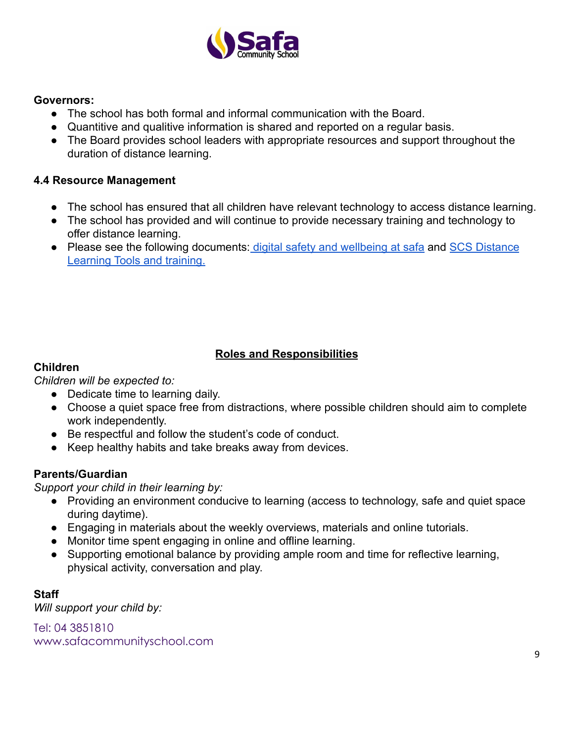

#### **Governors:**

- The school has both formal and informal communication with the Board.
- Quantitive and qualitive information is shared and reported on a regular basis.
- The Board provides school leaders with appropriate resources and support throughout the duration of distance learning.

#### **4.4 Resource Management**

- The school has ensured that all children have relevant technology to access distance learning.
- The school has provided and will continue to provide necessary training and technology to offer distance learning.
- Please see the following documents: digital safety [and wellbeing at safa](https://wakelet.com/wake/KRG9ixow5LE81-s64cjTY) and [SCS Distance](https://docs.google.com/document/d/1dwN6xiOJ96IivVGGKJx03wYElVqFrzJsZ6OatTX7YUw/edit) [Learning Tools and training.](https://docs.google.com/document/d/1dwN6xiOJ96IivVGGKJx03wYElVqFrzJsZ6OatTX7YUw/edit)

# **Roles and Responsibilities**

# **Children**

*Children will be expected to:*

- Dedicate time to learning daily.
- Choose a quiet space free from distractions, where possible children should aim to complete work independently.
- Be respectful and follow the student's code of conduct.
- Keep healthy habits and take breaks away from devices.

## **Parents/Guardian**

*Support your child in their learning by:*

- Providing an environment conducive to learning (access to technology, safe and quiet space during daytime).
- Engaging in materials about the weekly overviews, materials and online tutorials.
- Monitor time spent engaging in online and offline learning.
- Supporting emotional balance by providing ample room and time for reflective learning, physical activity, conversation and play.

## **Staff**

*Will support your child by:*